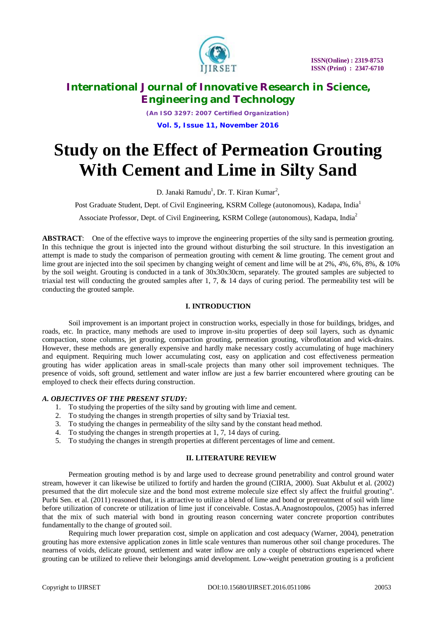

*(An ISO 3297: 2007 Certified Organization)* **Vol. 5, Issue 11, November 2016**

# **Study on the Effect of Permeation Grouting With Cement and Lime in Silty Sand**

D. Janaki Ramudu<sup>1</sup>, Dr. T. Kiran Kumar<sup>2</sup>,

Post Graduate Student, Dept. of Civil Engineering, KSRM College (autonomous), Kadapa, India<sup>1</sup>

Associate Professor, Dept. of Civil Engineering, KSRM College (autonomous), Kadapa, India<sup>2</sup>

**ABSTRACT**: One of the effective ways to improve the engineering properties of the silty sand is permeation grouting. In this technique the grout is injected into the ground without disturbing the soil structure. In this investigation an attempt is made to study the comparison of permeation grouting with cement & lime grouting. The cement grout and lime grout are injected into the soil specimen by changing weight of cement and lime will be at 2%, 4%, 6%, 8%, & 10% by the soil weight. Grouting is conducted in a tank of 30x30x30cm, separately. The grouted samples are subjected to triaxial test will conducting the grouted samples after 1, 7,  $\&$  14 days of curing period. The permeability test will be conducting the grouted sample.

#### **I. INTRODUCTION**

Soil improvement is an important project in construction works, especially in those for buildings, bridges, and roads, etc. In practice, many methods are used to improve in-situ properties of deep soil layers, such as dynamic compaction, stone columns, jet grouting, compaction grouting, permeation grouting, vibroflotation and wick-drains. However, these methods are generally expensive and hardly make necessary costly accumulating of huge machinery and equipment. Requiring much lower accumulating cost, easy on application and cost effectiveness permeation grouting has wider application areas in small-scale projects than many other soil improvement techniques. The presence of voids, soft ground, settlement and water inflow are just a few barrier encountered where grouting can be employed to check their effects during construction.

#### *A. OBJECTIVES OF THE PRESENT STUDY:*

- 1. To studying the properties of the silty sand by grouting with lime and cement.
- 2. To studying the changes in strength properties of silty sand by Triaxial test.
- 3. To studying the changes in permeability of the silty sand by the constant head method.
- 4. To studying the changes in strength properties at 1, 7, 14 days of curing.
- 5. To studying the changes in strength properties at different percentages of lime and cement.

#### **II. LITERATURE REVIEW**

Permeation grouting method is by and large used to decrease ground penetrability and control ground water stream, however it can likewise be utilized to fortify and harden the ground (CIRIA, 2000). Suat Akbulut et al. (2002) presumed that the dirt molecule size and the bond most extreme molecule size effect sly affect the fruitful grouting". Purbi Sen. et al. (2011) reasoned that, it is attractive to utilize a blend of lime and bond or pretreatment of soil with lime before utilization of concrete or utilization of lime just if conceivable. Costas.A.Anagnostopoulos, (2005) has inferred that the mix of such material with bond in grouting reason concerning water concrete proportion contributes fundamentally to the change of grouted soil.

Requiring much lower preparation cost, simple on application and cost adequacy (Warner, 2004), penetration grouting has more extensive application zones in little scale ventures than numerous other soil change procedures. The nearness of voids, delicate ground, settlement and water inflow are only a couple of obstructions experienced where grouting can be utilized to relieve their belongings amid development. Low-weight penetration grouting is a proficient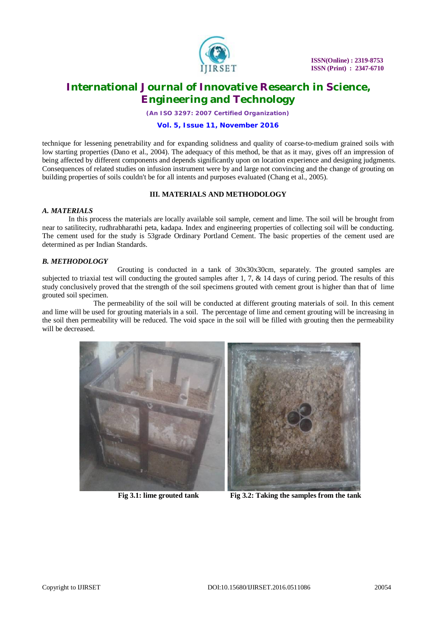

*(An ISO 3297: 2007 Certified Organization)*

#### **Vol. 5, Issue 11, November 2016**

technique for lessening penetrability and for expanding solidness and quality of coarse-to-medium grained soils with low starting properties (Dano et al., 2004). The adequacy of this method, be that as it may, gives off an impression of being affected by different components and depends significantly upon on location experience and designing judgments. Consequences of related studies on infusion instrument were by and large not convincing and the change of grouting on building properties of soils couldn't be for all intents and purposes evaluated (Chang et al., 2005).

#### **III. MATERIALS AND METHODOLOGY**

#### *A. MATERIALS*

In this process the materials are locally available soil sample, cement and lime. The soil will be brought from near to satilitecity, rudhrabharathi peta, kadapa. Index and engineering properties of collecting soil will be conducting. The cement used for the study is 53grade Ordinary Portland Cement. The basic properties of the cement used are determined as per Indian Standards.

#### *B. METHODOLOGY*

Grouting is conducted in a tank of 30x30x30cm, separately. The grouted samples are subjected to triaxial test will conducting the grouted samples after 1, 7,  $\&$  14 days of curing period. The results of this study conclusively proved that the strength of the soil specimens grouted with cement grout is higher than that of lime grouted soil specimen.

 The permeability of the soil will be conducted at different grouting materials of soil. In this cement and lime will be used for grouting materials in a soil. The percentage of lime and cement grouting will be increasing in the soil then permeability will be reduced. The void space in the soil will be filled with grouting then the permeability will be decreased.



 **Fig 3.1: lime grouted tank Fig 3.2: Taking the samples from the tank**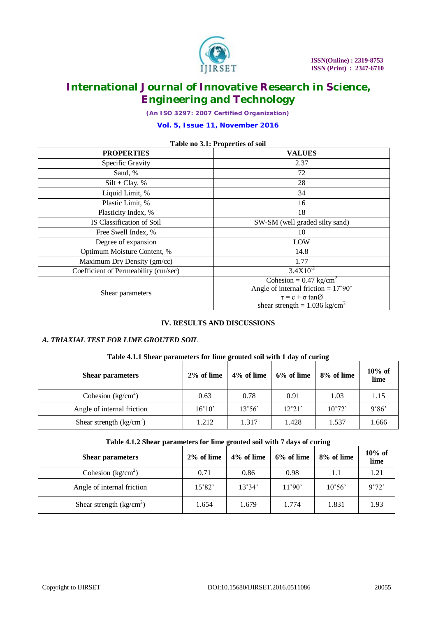

*(An ISO 3297: 2007 Certified Organization)*

#### **Vol. 5, Issue 11, November 2016**

| <b>Table no 3.1: Properties of soil</b> |                                                                                      |  |  |  |  |
|-----------------------------------------|--------------------------------------------------------------------------------------|--|--|--|--|
| <b>PROPERTIES</b>                       | <b>VALUES</b>                                                                        |  |  |  |  |
| Specific Gravity                        | 2.37                                                                                 |  |  |  |  |
| Sand, %                                 | 72                                                                                   |  |  |  |  |
| $Silt + Clay, %$                        | 28                                                                                   |  |  |  |  |
| Liquid Limit, %                         | 34                                                                                   |  |  |  |  |
| Plastic Limit, %                        | 16                                                                                   |  |  |  |  |
| Plasticity Index, %                     | 18                                                                                   |  |  |  |  |
| IS Classification of Soil               | SW-SM (well graded silty sand)                                                       |  |  |  |  |
| Free Swell Index, %                     | 10                                                                                   |  |  |  |  |
| Degree of expansion                     | LOW                                                                                  |  |  |  |  |
| Optimum Moisture Content, %             | 14.8                                                                                 |  |  |  |  |
| Maximum Dry Density (gm/cc)             | 1.77                                                                                 |  |  |  |  |
| Coefficient of Permeability (cm/sec)    | $3.4X10^{-3}$                                                                        |  |  |  |  |
|                                         | Cohesion = $0.47 \text{ kg/cm}^2$                                                    |  |  |  |  |
| Shear parameters                        | Angle of internal friction = $17^{\circ}90'$<br>$\tau = c + \sigma \tan \varnothing$ |  |  |  |  |
|                                         | shear strength = $1.036 \text{ kg/cm}^2$                                             |  |  |  |  |

### **Table no 3.1: Properties of soil**

#### **IV. RESULTS AND DISCUSSIONS**

#### *A. TRIAXIAL TEST FOR LIME GROUTED SOIL*

#### **Table 4.1.1 Shear parameters for lime grouted soil with 1 day of curing**

| <b>Shear parameters</b>                      | $2\%$ of lime   | 4% of lime      | 6% of lime      | 8% of lime      | $10\%$ of<br>lime |
|----------------------------------------------|-----------------|-----------------|-----------------|-----------------|-------------------|
| Cohesion $\frac{\text{kg/cm}^2}{\text{m}^2}$ | 0.63            | 0.78            | 0.91            | 1.03            | 1.15              |
| Angle of internal friction                   | $16^{\circ}10'$ | $13^{\circ}56'$ | $12^{\circ}21'$ | $10^{\circ}72'$ | 9°86'             |
| Shear strength $\frac{kg}{cm^2}$ )           | 1.212           | 1.317           | 1.428           | 1.537           | 1.666             |

#### **Table 4.1.2 Shear parameters for lime grouted soil with 7 days of curing**

| <b>Shear parameters</b>          | 2% of lime      | 4% of lime      | 6% of lime | 8% of lime      | $10\%$ of<br>lime |
|----------------------------------|-----------------|-----------------|------------|-----------------|-------------------|
| Cohesion ( $kg/cm2$ )            | 0.71            | 0.86            | 0.98       | 1.1             | 1.21              |
| Angle of internal friction       | $15^{\circ}82'$ | $13^{\circ}34'$ | 11°90'     | $10^{\circ}56'$ | 9°72'             |
| Shear strength $\frac{kg}{cm^2}$ | 1.654           | 1.679           | 1.774      | 1.831           | 1.93              |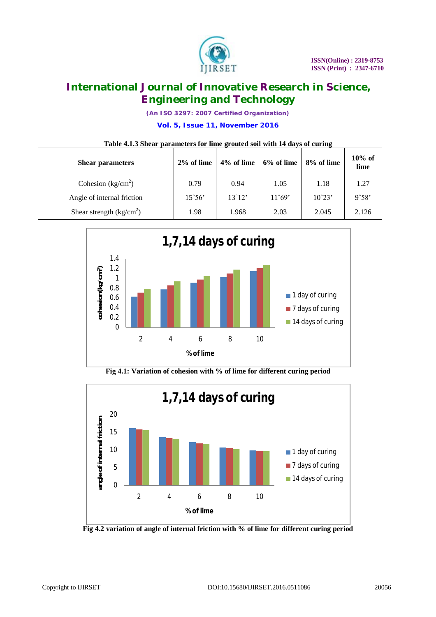

*(An ISO 3297: 2007 Certified Organization)*

**Vol. 5, Issue 11, November 2016**

#### **Table 4.1.3 Shear parameters for lime grouted soil with 14 days of curing**

| <b>Shear parameters</b>            | 2% of lime      | 4% of lime      | 6% of lime      | 8% of lime      | $10\%$ of<br>lime |
|------------------------------------|-----------------|-----------------|-----------------|-----------------|-------------------|
| Cohesion $(kg/cm2)$                | 0.79            | 0.94            | 1.05            | 1.18            | 1.27              |
| Angle of internal friction         | $15^{\circ}56'$ | $13^{\circ}12'$ | $11^{\circ}69'$ | $10^{\circ}23'$ | 9°58'             |
| Shear strength $\frac{kg}{cm^2}$ ) | 1.98            | 1.968           | 2.03            | 2.045           | 2.126             |



**Fig 4.1: Variation of cohesion with % of lime for different curing period**



**Fig 4.2 variation of angle of internal friction with % of lime for different curing period**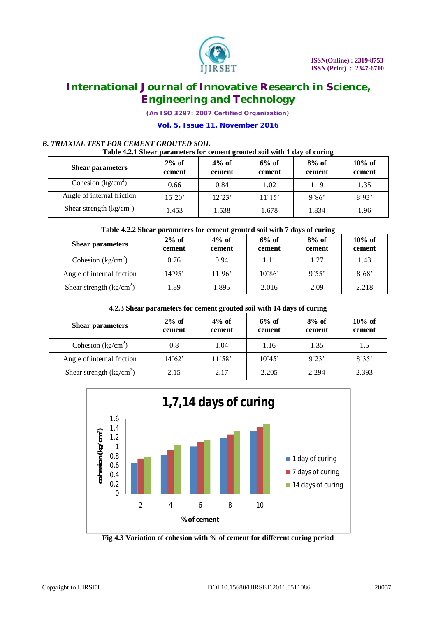

*(An ISO 3297: 2007 Certified Organization)*

#### **Vol. 5, Issue 11, November 2016**

### *B. TRIAXIAL TEST FOR CEMENT GROUTED SOIL*

#### **Table 4.2.1 Shear parameters for cement grouted soil with 1 day of curing**

| <b>Shear parameters</b>            | $2\%$ of<br>cement | $4\%$ of<br>cement | $6\%$ of<br>cement | $8\%$ of<br>cement | $10\%$ of<br>cement |
|------------------------------------|--------------------|--------------------|--------------------|--------------------|---------------------|
| Cohesion $\frac{kg}{cm^2}$         | 0.66               | 0.84               | 1.02               | 1.19               | 1.35                |
| Angle of internal friction         | $15^{\circ}20'$    | $12^{\circ}23'$    | $11^{\circ}15'$    | 9°86'              | 8°93'               |
| Shear strength $\frac{kg}{cm^2}$ ) | 1.453              | 1.538              | 1.678              | 1.834              | 1.96                |

#### **Table 4.2.2 Shear parameters for cement grouted soil with 7 days of curing**

| <b>Shear parameters</b>            | $2\%$ of<br>cement | $4\%$ of<br>cement | $6%$ of<br>cement | $8\%$ of<br>cement | $10\%$ of<br>cement |
|------------------------------------|--------------------|--------------------|-------------------|--------------------|---------------------|
| Cohesion $(kg/cm2)$                | 0.76               | 0.94               | 1.11              | 1.27               | 1.43                |
| Angle of internal friction         | 14°95'             | $11^{\circ}96'$    | $10^{\circ}86'$   | $9^{\circ}55'$     | 8°68'               |
| Shear strength $\frac{kg}{cm^2}$ ) | l.89               | 1.895              | 2.016             | 2.09               | 2.218               |

#### **4.2.3 Shear parameters for cement grouted soil with 14 days of curing**

| <b>Shear parameters</b>                      | $2\%$ of<br>cement | $4\%$ of<br>cement | $6%$ of<br>cement | $8\%$ of<br>cement | $10\%$ of<br>cement |
|----------------------------------------------|--------------------|--------------------|-------------------|--------------------|---------------------|
| Cohesion $\frac{\text{kg/cm}^2}{\text{m}^2}$ | 0.8                | 1.04               | 1.16              | 1.35               | 1.5                 |
| Angle of internal friction                   | $14^{\circ}62'$    | $11^{\circ}58'$    | $10^{\circ}45'$   | 9°23'              | 8°35'               |
| Shear strength $\frac{kg}{cm^2}$             | 2.15               | 2.17               | 2.205             | 2.294              | 2.393               |



**Fig 4.3 Variation of cohesion with % of cement for different curing period**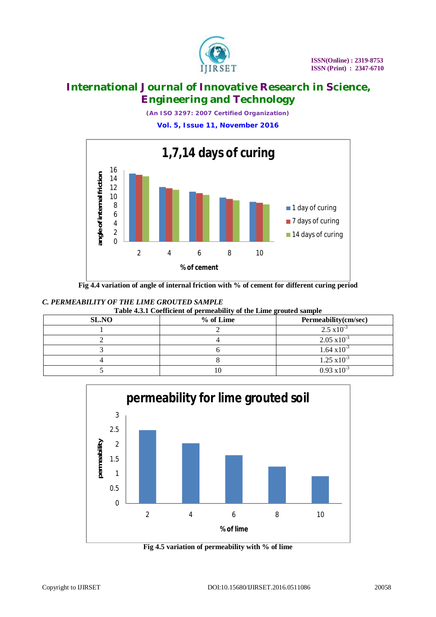

*(An ISO 3297: 2007 Certified Organization)*

**Vol. 5, Issue 11, November 2016**



**Fig 4.4 variation of angle of internal friction with % of cement for different curing period**

### *C. PERMEABILITY OF THE LIME GROUTED SAMPLE*

|--|

| SL.NO | -<br>$%$ of Lime | Permeability(cm/sec)  |
|-------|------------------|-----------------------|
|       |                  | $2.5 \times 10^{-3}$  |
|       |                  | $2.05 \times 10^{-3}$ |
|       |                  | $1.64 \times 10^{-3}$ |
|       |                  | $1.25 \times 10^{-3}$ |
|       |                  | $0.93 \times 10^{-3}$ |



**Fig 4.5 variation of permeability with % of lime**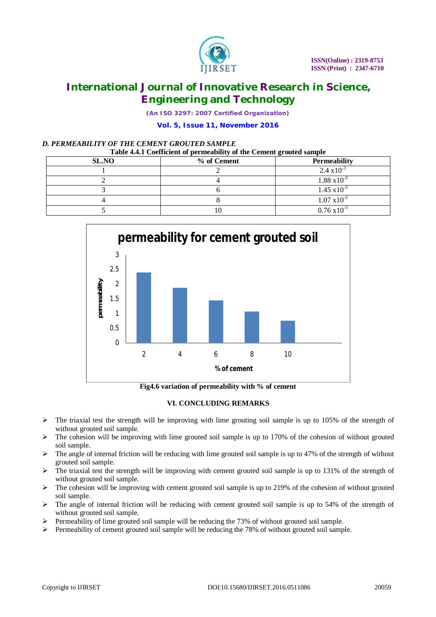

*(An ISO 3297: 2007 Certified Organization)*

#### **Vol. 5, Issue 11, November 2016**

#### *D. PERMEABILITY OF THE CEMENT GROUTED SAMPLE*

#### **Table 4.4.1 Coefficient of permeability of the Cement grouted sample**

| SL.NO | % of Cement | <b>Permeability</b>   |
|-------|-------------|-----------------------|
|       |             | $2.4 \times 10^{-3}$  |
|       |             | $1.88 \times 10^{-3}$ |
|       |             | $1.45 \times 10^{-3}$ |
|       |             | $1.07 \times 10^{-3}$ |
|       |             | $0.76 \times 10^{-3}$ |



**Fig4.6 variation of permeability with % of cement**

#### **VI. CONCLUDING REMARKS**

- $\triangleright$  The triaxial test the strength will be improving with lime grouting soil sample is up to 105% of the strength of without grouted soil sample.
- $\triangleright$  The cohesion will be improving with lime grouted soil sample is up to 170% of the cohesion of without grouted soil sample.
- $\triangleright$  The angle of internal friction will be reducing with lime grouted soil sample is up to 47% of the strength of without grouted soil sample.
- $\triangleright$  The triaxial test the strength will be improving with cement grouted soil sample is up to 131% of the strength of without grouted soil sample.
- $\triangleright$  The cohesion will be improving with cement grouted soil sample is up to 219% of the cohesion of without grouted soil sample.
- $\triangleright$  The angle of internal friction will be reducing with cement grouted soil sample is up to 54% of the strength of without grouted soil sample.
- $\triangleright$  Permeability of lime grouted soil sample will be reducing the 73% of without grouted soil sample.
- $\triangleright$  Permeability of cement grouted soil sample will be reducing the 78% of without grouted soil sample.